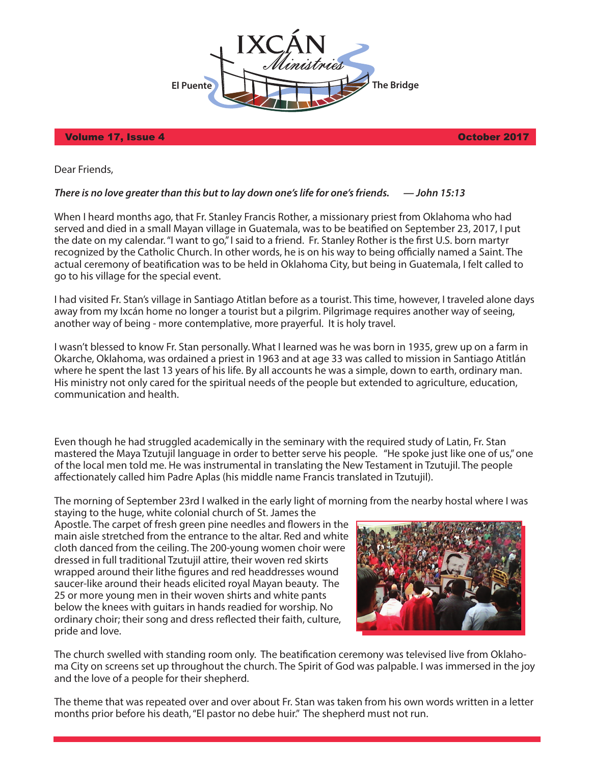

## Volume 17, Issue 4 October 2017

Dear Friends,

## *There is no love greater than this but to lay down one's life for one's friends. — John 15:13*

When I heard months ago, that Fr. Stanley Francis Rother, a missionary priest from Oklahoma who had served and died in a small Mayan village in Guatemala, was to be beatified on September 23, 2017, I put the date on my calendar. "I want to go," I said to a friend. Fr. Stanley Rother is the first U.S. born martyr recognized by the Catholic Church. In other words, he is on his way to being officially named a Saint. The actual ceremony of beatification was to be held in Oklahoma City, but being in Guatemala, I felt called to go to his village for the special event.

I had visited Fr. Stan's village in Santiago Atitlan before as a tourist. This time, however, I traveled alone days away from my Ixcán home no longer a tourist but a pilgrim. Pilgrimage requires another way of seeing, another way of being - more contemplative, more prayerful. It is holy travel.

I wasn't blessed to know Fr. Stan personally. What I learned was he was born in 1935, grew up on a farm in Okarche, Oklahoma, was ordained a priest in 1963 and at age 33 was called to mission in Santiago Atitlán where he spent the last 13 years of his life. By all accounts he was a simple, down to earth, ordinary man. His ministry not only cared for the spiritual needs of the people but extended to agriculture, education, communication and health.

Even though he had struggled academically in the seminary with the required study of Latin, Fr. Stan mastered the Maya Tzutujil language in order to better serve his people. "He spoke just like one of us," one of the local men told me. He was instrumental in translating the New Testament in Tzutujil. The people affectionately called him Padre Aplas (his middle name Francis translated in Tzutujil).

The morning of September 23rd I walked in the early light of morning from the nearby hostal where I was

staying to the huge, white colonial church of St. James the Apostle. The carpet of fresh green pine needles and flowers in the main aisle stretched from the entrance to the altar. Red and white cloth danced from the ceiling. The 200-young women choir were dressed in full traditional Tzutujil attire, their woven red skirts wrapped around their lithe figures and red headdresses wound saucer-like around their heads elicited royal Mayan beauty. The 25 or more young men in their woven shirts and white pants below the knees with guitars in hands readied for worship. No ordinary choir; their song and dress reflected their faith, culture, pride and love.



The church swelled with standing room only. The beatification ceremony was televised live from Oklahoma City on screens set up throughout the church. The Spirit of God was palpable. I was immersed in the joy and the love of a people for their shepherd.

The theme that was repeated over and over about Fr. Stan was taken from his own words written in a letter months prior before his death, "El pastor no debe huir." The shepherd must not run.